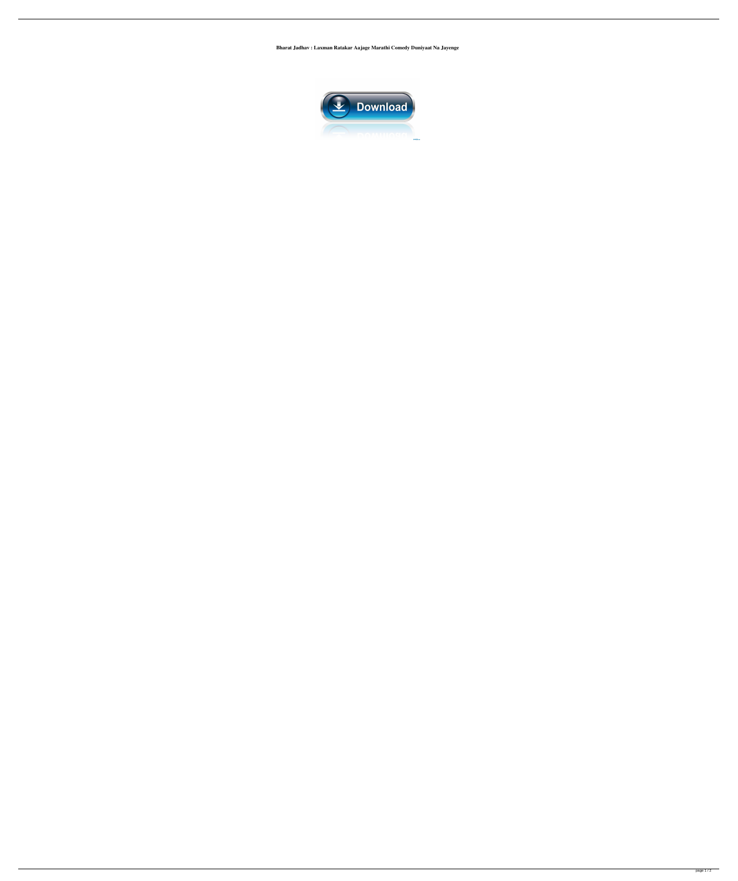**Bharat Jadhav : Laxman Ratakar Aajage Marathi Comedy Duniyaat Na Jayenge**